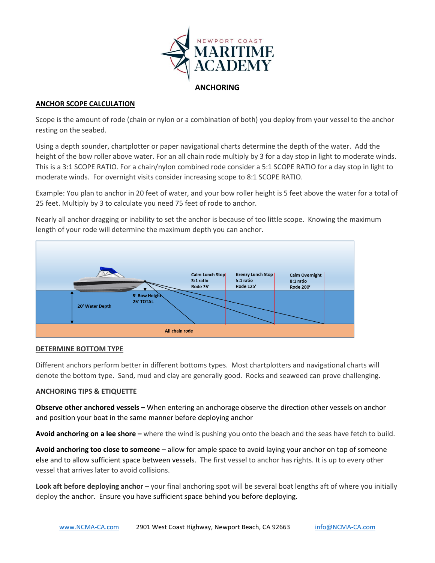

# **ANCHORING**

## **ANCHOR SCOPE CALCULATION**

Scope is the amount of rode (chain or nylon or a combination of both) you deploy from your vessel to the anchor resting on the seabed.

Using a depth sounder, chartplotter or paper navigational charts determine the depth of the water. Add the height of the bow roller above water. For an all chain rode multiply by 3 for a day stop in light to moderate winds. This is a 3:1 SCOPE RATIO. For a chain/nylon combined rode consider a 5:1 SCOPE RATIO for a day stop in light to moderate winds. For overnight visits consider increasing scope to 8:1 SCOPE RATIO.

Example: You plan to anchor in 20 feet of water, and your bow roller height is 5 feet above the water for a total of 25 feet. Multiply by 3 to calculate you need 75 feet of rode to anchor.

Nearly all anchor dragging or inability to set the anchor is because of too little scope. Knowing the maximum length of your rode will determine the maximum depth you can anchor.



### **DETERMINE BOTTOM TYPE**

Different anchors perform better in different bottoms types. Most chartplotters and navigational charts will denote the bottom type. Sand, mud and clay are generally good. Rocks and seaweed can prove challenging.

# **ANCHORING TIPS & ETIQUETTE**

**Observe other anchored vessels –** When entering an anchorage observe the direction other vessels on anchor and position your boat in the same manner before deploying anchor

**Avoid anchoring on a lee shore –** where the wind is pushing you onto the beach and the seas have fetch to build.

**Avoid anchoring too close to someone** – allow for ample space to avoid laying your anchor on top of someone else and to allow sufficient space between vessels. The first vessel to anchor has rights. It is up to every other vessel that arrives later to avoid collisions.

**Look aft before deploying anchor** – your final anchoring spot will be several boat lengths aft of where you initially deploy the anchor. Ensure you have sufficient space behind you before deploying.